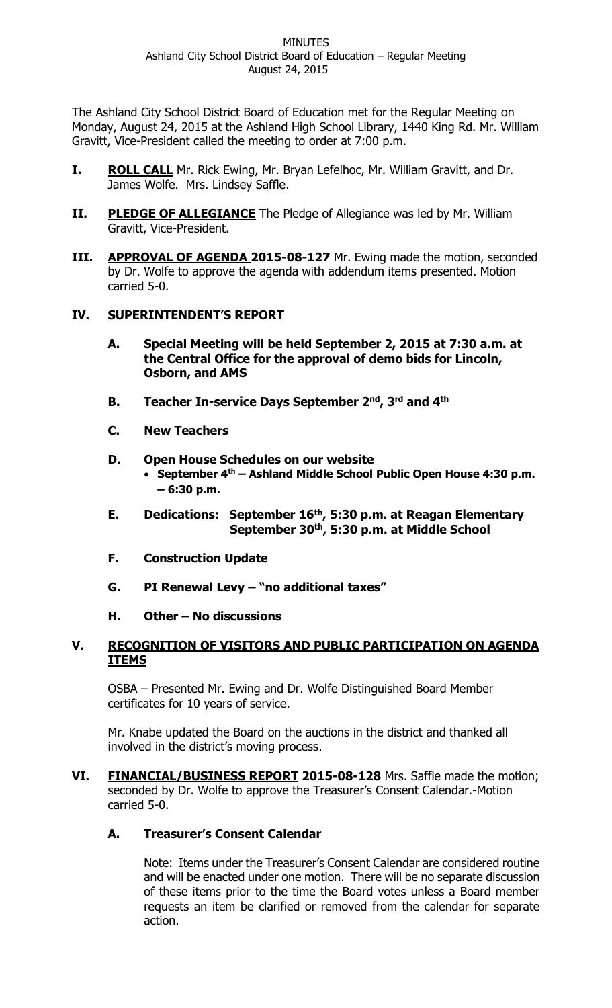The Ashland City School District Board of Education met for the Regular Meeting on Monday, August 24, 2015 at the Ashland High School Library, 1440 King Rd. Mr. William Gravitt, Vice-President called the meeting to order at 7:00 p.m.

- **I.** ROLL CALL Mr. Rick Ewing, Mr. Bryan Lefelhoc, Mr. William Gravitt, and Dr. James Wolfe. Mrs. Lindsey Saffle.
- **II.** PLEDGE OF ALLEGIANCE The Pledge of Allegiance was led by Mr. William Gravitt, Vice-President.
- **III. APPROVAL OF AGENDA 2015-08-127** Mr. Ewing made the motion, seconded by Dr. Wolfe to approve the agenda with addendum items presented. Motion carried 5-0.

### **IV. SUPERINTENDENT'S REPORT**

- **A. Special Meeting will be held September 2, 2015 at 7:30 a.m. at the Central Office for the approval of demo bids for Lincoln, Osborn, and AMS**
- **B. Teacher In-service Days September 2nd, 3rd and 4th**
- **C. New Teachers**
- **D. Open House Schedules on our website September 4th – Ashland Middle School Public Open House 4:30 p.m. – 6:30 p.m.**
- **E. Dedications: September 16th, 5:30 p.m. at Reagan Elementary September 30th, 5:30 p.m. at Middle School**
- **F. Construction Update**
- **G. PI Renewal Levy – "no additional taxes"**

### **H. Other – No discussions**

### **V. RECOGNITION OF VISITORS AND PUBLIC PARTICIPATION ON AGENDA ITEMS**

OSBA – Presented Mr. Ewing and Dr. Wolfe Distinguished Board Member certificates for 10 years of service.

Mr. Knabe updated the Board on the auctions in the district and thanked all involved in the district's moving process.

**VI. FINANCIAL/BUSINESS REPORT 2015-08-128** Mrs. Saffle made the motion; seconded by Dr. Wolfe to approve the Treasurer's Consent Calendar.-Motion carried 5-0.

# **A. Treasurer's Consent Calendar**

Note: Items under the Treasurer's Consent Calendar are considered routine and will be enacted under one motion. There will be no separate discussion of these items prior to the time the Board votes unless a Board member requests an item be clarified or removed from the calendar for separate action.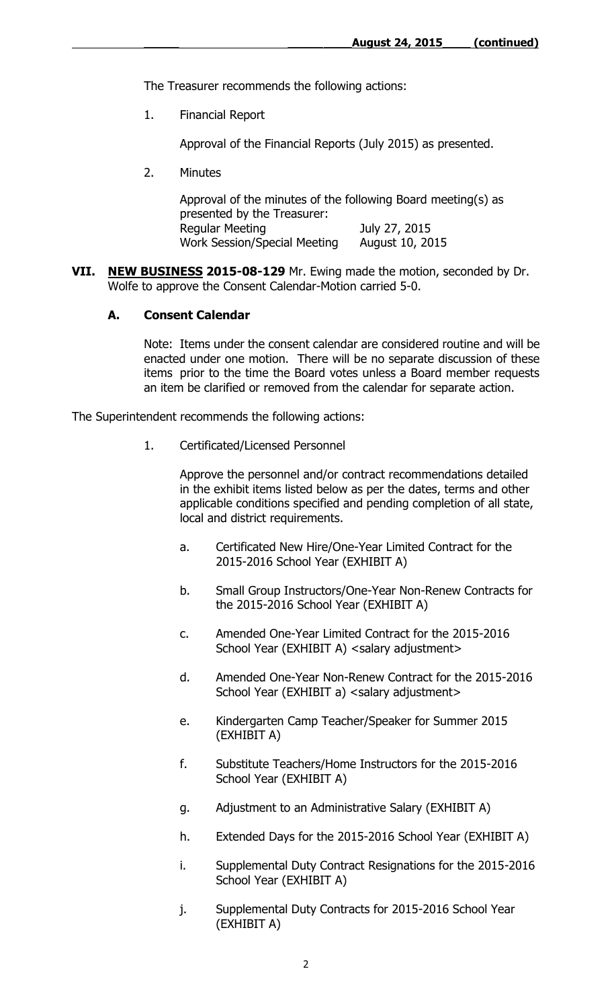The Treasurer recommends the following actions:

1. Financial Report

Approval of the Financial Reports (July 2015) as presented.

2. Minutes

| Approval of the minutes of the following Board meeting(s) as |                 |  |  |  |
|--------------------------------------------------------------|-----------------|--|--|--|
| presented by the Treasurer:                                  |                 |  |  |  |
| Regular Meeting                                              | July 27, 2015   |  |  |  |
| Work Session/Special Meeting                                 | August 10, 2015 |  |  |  |

**VII. NEW BUSINESS 2015-08-129** Mr. Ewing made the motion, seconded by Dr. Wolfe to approve the Consent Calendar-Motion carried 5-0.

#### **A. Consent Calendar**

Note: Items under the consent calendar are considered routine and will be enacted under one motion. There will be no separate discussion of these items prior to the time the Board votes unless a Board member requests an item be clarified or removed from the calendar for separate action.

The Superintendent recommends the following actions:

1. Certificated/Licensed Personnel

Approve the personnel and/or contract recommendations detailed in the exhibit items listed below as per the dates, terms and other applicable conditions specified and pending completion of all state, local and district requirements.

- a. Certificated New Hire/One-Year Limited Contract for the 2015-2016 School Year (EXHIBIT A)
- b. Small Group Instructors/One-Year Non-Renew Contracts for the 2015-2016 School Year (EXHIBIT A)
- c. Amended One-Year Limited Contract for the 2015-2016 School Year (EXHIBIT A) <salary adjustment>
- d. Amended One-Year Non-Renew Contract for the 2015-2016 School Year (EXHIBIT a) <salary adjustment>
- e. Kindergarten Camp Teacher/Speaker for Summer 2015 (EXHIBIT A)
- f. Substitute Teachers/Home Instructors for the 2015-2016 School Year (EXHIBIT A)
- g. Adjustment to an Administrative Salary (EXHIBIT A)
- h. Extended Days for the 2015-2016 School Year (EXHIBIT A)
- i. Supplemental Duty Contract Resignations for the 2015-2016 School Year (EXHIBIT A)
- j. Supplemental Duty Contracts for 2015-2016 School Year (EXHIBIT A)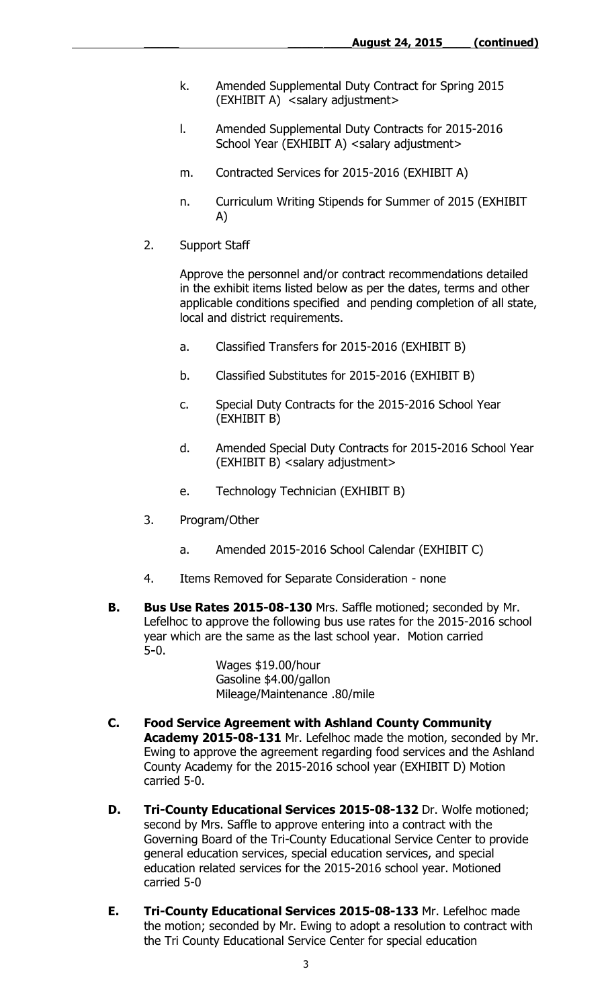- k. Amended Supplemental Duty Contract for Spring 2015 (EXHIBIT A) <salary adjustment>
- l. Amended Supplemental Duty Contracts for 2015-2016 School Year (EXHIBIT A) <salary adjustment>
- m. Contracted Services for 2015-2016 (EXHIBIT A)
- n. Curriculum Writing Stipends for Summer of 2015 (EXHIBIT A)
- 2. Support Staff

Approve the personnel and/or contract recommendations detailed in the exhibit items listed below as per the dates, terms and other applicable conditions specified and pending completion of all state, local and district requirements.

- a. Classified Transfers for 2015-2016 (EXHIBIT B)
- b. Classified Substitutes for 2015-2016 (EXHIBIT B)
- c. Special Duty Contracts for the 2015-2016 School Year (EXHIBIT B)
- d. Amended Special Duty Contracts for 2015-2016 School Year (EXHIBIT B) <salary adjustment>
- e. Technology Technician (EXHIBIT B)
- 3. Program/Other
	- a. Amended 2015-2016 School Calendar (EXHIBIT C)
- 4. Items Removed for Separate Consideration none
- **B. Bus Use Rates 2015-08-130** Mrs. Saffle motioned; seconded by Mr. Lefelhoc to approve the following bus use rates for the 2015-2016 school year which are the same as the last school year. Motion carried 5**-**0.

Wages \$19.00/hour Gasoline \$4.00/gallon Mileage/Maintenance .80/mile

- **C. Food Service Agreement with Ashland County Community Academy 2015-08-131** Mr. Lefelhoc made the motion, seconded by Mr. Ewing to approve the agreement regarding food services and the Ashland County Academy for the 2015-2016 school year (EXHIBIT D) Motion carried 5-0.
- **D. Tri-County Educational Services 2015-08-132** Dr. Wolfe motioned; second by Mrs. Saffle to approve entering into a contract with the Governing Board of the Tri-County Educational Service Center to provide general education services, special education services, and special education related services for the 2015-2016 school year. Motioned carried 5-0
- **E. Tri-County Educational Services 2015-08-133** Mr. Lefelhoc made the motion; seconded by Mr. Ewing to adopt a resolution to contract with the Tri County Educational Service Center for special education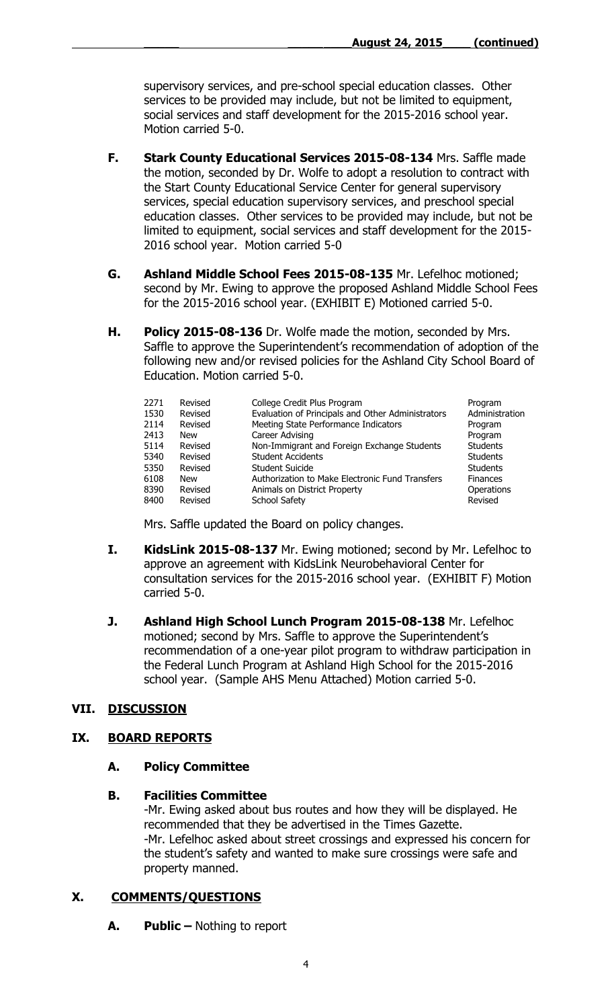supervisory services, and pre-school special education classes. Other services to be provided may include, but not be limited to equipment, social services and staff development for the 2015-2016 school year. Motion carried 5-0.

- **F. Stark County Educational Services 2015-08-134** Mrs. Saffle made the motion, seconded by Dr. Wolfe to adopt a resolution to contract with the Start County Educational Service Center for general supervisory services, special education supervisory services, and preschool special education classes. Other services to be provided may include, but not be limited to equipment, social services and staff development for the 2015- 2016 school year. Motion carried 5-0
- **G. Ashland Middle School Fees 2015-08-135** Mr. Lefelhoc motioned; second by Mr. Ewing to approve the proposed Ashland Middle School Fees for the 2015-2016 school year. (EXHIBIT E) Motioned carried 5-0.
- **H. Policy 2015-08-136** Dr. Wolfe made the motion, seconded by Mrs. Saffle to approve the Superintendent's recommendation of adoption of the following new and/or revised policies for the Ashland City School Board of Education. Motion carried 5-0.

| 2271 | Revised    | College Credit Plus Program                       | Program         |
|------|------------|---------------------------------------------------|-----------------|
| 1530 | Revised    | Evaluation of Principals and Other Administrators | Administration  |
| 2114 | Revised    | Meeting State Performance Indicators              | Program         |
| 2413 | <b>New</b> | Career Advising                                   | Program         |
| 5114 | Revised    | Non-Immigrant and Foreign Exchange Students       | <b>Students</b> |
| 5340 | Revised    | <b>Student Accidents</b>                          | <b>Students</b> |
| 5350 | Revised    | Student Suicide                                   | <b>Students</b> |
| 6108 | <b>New</b> | Authorization to Make Electronic Fund Transfers   | <b>Finances</b> |
| 8390 | Revised    | Animals on District Property                      | Operations      |
| 8400 | Revised    | School Safety                                     | Revised         |
|      |            |                                                   |                 |

Mrs. Saffle updated the Board on policy changes.

- **I. KidsLink 2015-08-137** Mr. Ewing motioned; second by Mr. Lefelhoc to approve an agreement with KidsLink Neurobehavioral Center for consultation services for the 2015-2016 school year. (EXHIBIT F) Motion carried 5-0.
- **J. Ashland High School Lunch Program 2015-08-138** Mr. Lefelhoc motioned; second by Mrs. Saffle to approve the Superintendent's recommendation of a one-year pilot program to withdraw participation in the Federal Lunch Program at Ashland High School for the 2015-2016 school year. (Sample AHS Menu Attached) Motion carried 5-0.

# **VII. DISCUSSION**

# **IX. BOARD REPORTS**

### **A. Policy Committee**

### **B. Facilities Committee**

-Mr. Ewing asked about bus routes and how they will be displayed. He recommended that they be advertised in the Times Gazette. -Mr. Lefelhoc asked about street crossings and expressed his concern for the student's safety and wanted to make sure crossings were safe and property manned.

# **X. COMMENTS/QUESTIONS**

**A. Public –** Nothing to report